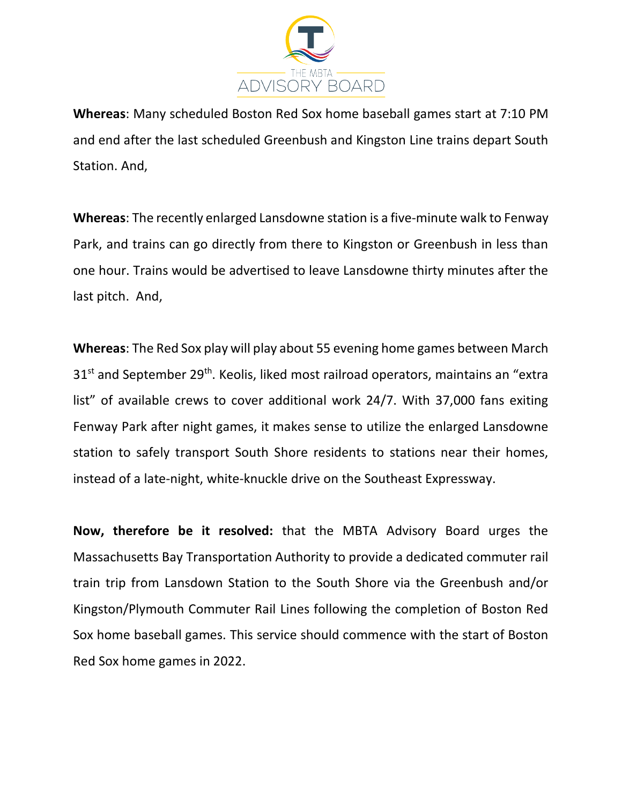

**Whereas**: Many scheduled Boston Red Sox home baseball games start at 7:10 PM and end after the last scheduled Greenbush and Kingston Line trains depart South Station. And,

**Whereas**: The recently enlarged Lansdowne station is a five-minute walk to Fenway Park, and trains can go directly from there to Kingston or Greenbush in less than one hour. Trains would be advertised to leave Lansdowne thirty minutes after the last pitch. And,

**Whereas**: The Red Sox play will play about 55 evening home games between March 31<sup>st</sup> and September 29<sup>th</sup>. Keolis, liked most railroad operators, maintains an "extra list" of available crews to cover additional work 24/7. With 37,000 fans exiting Fenway Park after night games, it makes sense to utilize the enlarged Lansdowne station to safely transport South Shore residents to stations near their homes, instead of a late-night, white-knuckle drive on the Southeast Expressway.

**Now, therefore be it resolved:** that the MBTA Advisory Board urges the Massachusetts Bay Transportation Authority to provide a dedicated commuter rail train trip from Lansdown Station to the South Shore via the Greenbush and/or Kingston/Plymouth Commuter Rail Lines following the completion of Boston Red Sox home baseball games. This service should commence with the start of Boston Red Sox home games in 2022.